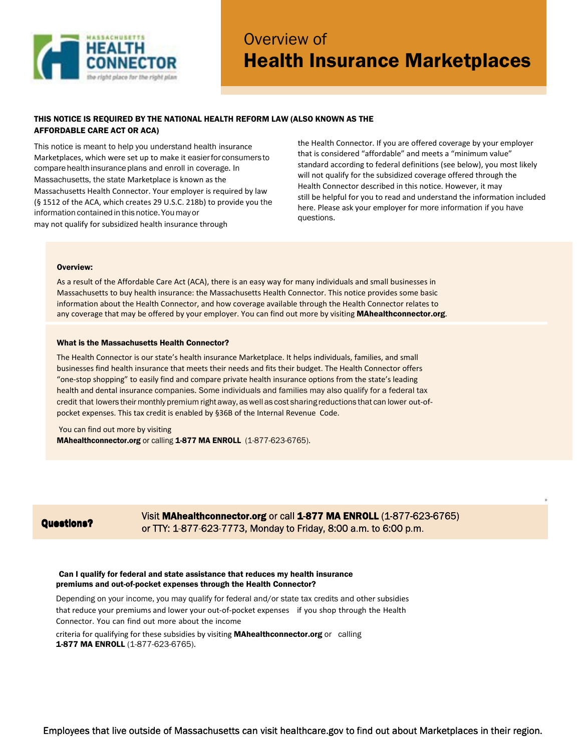

# Overview of Health Insurance Marketplaces

## THIS NOTICE IS REQUIRED BY THE NATIONAL HEALTH REFORM LAW (ALSO KNOWN AS THE AFFORDABLE CARE ACT OR ACA)

This notice is meant to help you understand health insurance Marketplaces, which were set up to make it easier for consumers to compare health insurance plans and enroll in coverage. In Massachusetts, the state Marketplace is known as the Massachusetts Health Connector. Your employer is required by law (§ 1512 of the ACA, which creates 29 U.S.C. 218b) to provide you the information contained in this notice. You may or may not qualify for subsidized health insurance through

the Health Connector. If you are offered coverage by your employer that is considered "affordable" and meets a "minimum value" standard according to federal definitions (see below), you most likely will not qualify for the subsidized coverage offered through the Health Connector described in this notice. However, it may still be helpful for you to read and understand the information included here. Please ask your employer for more information if you have questions.

»

#### Overview:

As a result of the Affordable Care Act (ACA), there is an easy way for many individuals and small businesses in Massachusetts to buy health insurance: the Massachusetts Health Connector. This notice provides some basic information about the Health Connector, and how coverage available through the Health Connector relates to any coverage that may be offered by your employer. You can find out more by visiting **[MAhealthconnector.org](http://mahealthconnector.org/)**.

#### What is the Massachusetts Health Connector?

The Health Connector is our state's health insurance Marketplace. It helps individuals, families, and small businesses find health insurance that meets their needs and fits their budget. The Health Connector offers "one-stop shopping" to easily find and compare private health insurance options from the state's leading health and dental insurance companies. Some individuals and families may also qualify for a federal tax credit that lowers their monthly premium rightaway, aswell as cost sharing reductions that can lower out-ofpocket expenses. This tax credit is enabled by §36B of the Internal Revenue Code.

 You can find out more by visiting MAhealthconnector.org or calling 1-877 MA ENROLL (1-877-623-6765).

## Questions?

## Visit MAhealthconnector.org or call 1-877 MA ENROLL (1-877-623-6765) or TTY: 1-877-623-7773, Monday to Friday, 8:00 a.m. to 6:00 p.m.

## Can I qualify for federal and state assistance that reduces my health insurance premiums and out-of-pocket expenses through the Health Connector?

Depending on your income, you may qualify for federal and/or state tax credits and other subsidies that reduce your premiums and lower your out-of-pocket expenses if you shop through the Health Connector. You can find out more about the income

criteria for qualifying for these subsidies by visiting **[MAhealthconnector.org](http://mahealthconnector.org/)** or calling 1-877 MA ENROLL (1-877-623-6765).